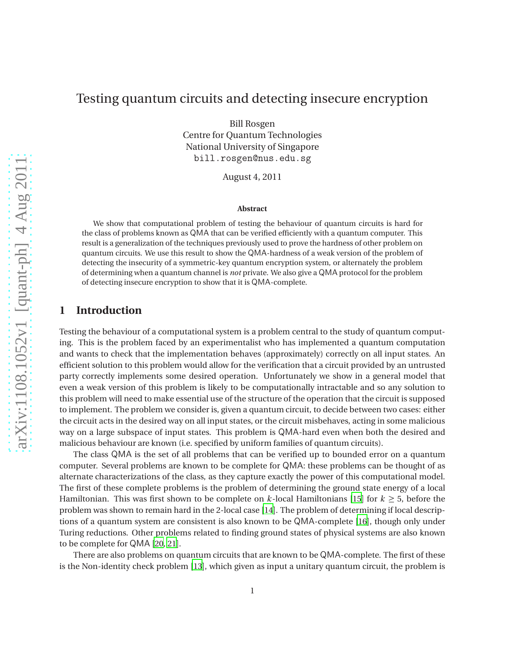# Testing quantum circuits and detecting insecure encryption

Bill Rosgen Centre for Quantum Technologies National University of Singapore bill.rosgen@nus.edu.sg

August 4, 2011

#### **Abstract**

We show that computational problem of testing the behaviour of quantum circuits is hard for the class of problems known as QMA that can be verified efficiently with a quantum computer. This result is a generalization of the techniques previously used to prove the hardness of other problem on quantum circuits. We use this result to show the QMA-hardness of a weak version of the problem of detecting the insecurity of a symmetric-key quantum encryption system, or alternately the problem of determining when a quantum channel is *not* private. We also give a QMAprotocol for the problem of detecting insecure encryption to show that it is QMA-complete.

## **1 Introduction**

Testing the behaviour of a computational system is a problem central to the study of quantum computing. This is the problem faced by an experimentalist who has implemented a quantum computation and wants to check that the implementation behaves (approximately) correctly on all input states. An efficient solution to this problem would allow for the verification that a circuit provided by an untrusted party correctly implements some desired operation. Unfortunately we show in a general model that even a weak version of this problem is likely to be computationally intractable and so any solution to this problem will need to make essential use of the structure of the operation that the circuit is supposed to implement. The problem we consider is, given a quantum circuit, to decide between two cases: either the circuit acts in the desired way on all input states, or the circuit misbehaves, acting in some malicious way on a large subspace of input states. This problem is QMA-hard even when both the desired and malicious behaviour are known (i.e. specified by uniform families of quantum circuits).

The class QMA is the set of all problems that can be verified up to bounded error on a quantum computer. Several problems are known to be complete for QMA: these problems can be thought of as alternate characterizations of the class, as they capture exactly the power of this computational model. The first of these complete problems is the problem of determining the ground state energy of a local Hamiltonian. This was first shown to be complete on  $k$ -local Hamiltonians [[15](#page-14-0)] for  $k \geq 5$ , before the problem was shown to remain hard in the 2-local case [[14](#page-14-1)]. The problem of determining if local descriptions of a quantum system are consistent is also known to be QMA-complete [[16](#page-14-2)], though only under Turing reductions. Other problems related to finding ground states of physical systems are also known to be complete for QMA [[20](#page-14-3), [21](#page-14-4)].

There are also problems on quantum circuits that are known to be QMA-complete. The first of these is the Non-identity check problem [[13](#page-14-5)], which given as input a unitary quantum circuit, the problem is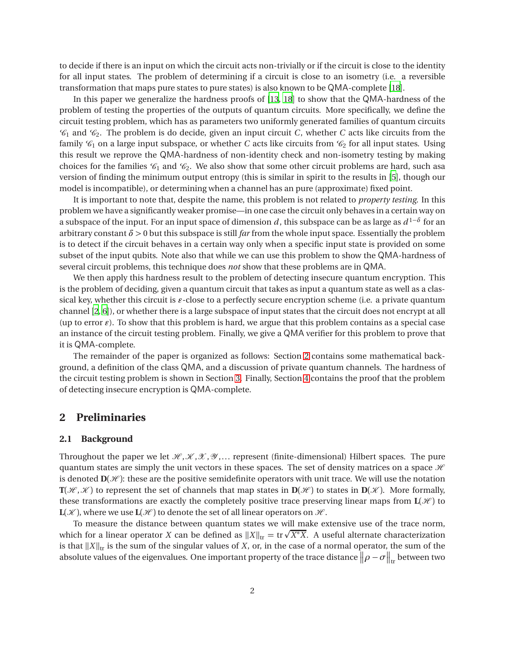to decide if there is an input on which the circuit acts non-trivially or if the circuit is close to the identity for all input states. The problem of determining if a circuit is close to an isometry (i.e. a reversible transformation that maps pure states to pure states) is also known to be QMA-complete [[18](#page-14-6)].

In this paper we generalize the hardness proofs of [[13](#page-14-5), [18](#page-14-6)] to show that the QMA-hardness of the problem of testing the properties of the outputs of quantum circuits. More specifically, we define the circuit testing problem, which has as parameters two uniformly generated families of quantum circuits  $\mathcal{C}_1$  and  $\mathcal{C}_2$ . The problem is do decide, given an input circuit *C*, whether *C* acts like circuits from the family  $\mathcal{C}_1$  on a large input subspace, or whether *C* acts like circuits from  $\mathcal{C}_2$  for all input states. Using this result we reprove the QMA-hardness of non-identity check and non-isometry testing by making choices for the families  $\mathcal{C}_1$  and  $\mathcal{C}_2$ . We also show that some other circuit problems are hard, such asa version of finding the minimum output entropy (this is similar in spirit to the results in [[5](#page-13-0)], though our model is incompatible), or determining when a channel has an pure (approximate) fixed point.

It is important to note that, despite the name, this problem is not related to *property testing*. In this problem we have a significantly weaker promise—in one case the circuit only behaves in a certain way on a subspace of the input. For an input space of dimension *d* , this subspace can be as large as *d* <sup>1</sup>−*<sup>δ</sup>* for an arbitrary constant  $\delta$  > 0 but this subspace is still *far* from the whole input space. Essentially the problem is to detect if the circuit behaves in a certain way only when a specific input state is provided on some subset of the input qubits. Note also that while we can use this problem to show the QMA-hardness of several circuit problems, this technique does *not* show that these problems are in QMA.

We then apply this hardness result to the problem of detecting insecure quantum encryption. This is the problem of deciding, given a quantum circuit that takes as input a quantum state as well as a classical key, whether this circuit is *ǫ*-close to a perfectly secure encryption scheme (i.e. a private quantum channel [[2,](#page-13-1) [6](#page-13-2)]), or whether there is a large subspace of input states that the circuit does not encrypt at all (up to error  $\epsilon$ ). To show that this problem is hard, we argue that this problem contains as a special case an instance of the circuit testing problem. Finally, we give a QMA verifier for this problem to prove that it is QMA-complete.

The remainder of the paper is organized as follows: Section [2](#page-1-0) contains some mathematical background, a definition of the class QMA, and a discussion of private quantum channels. The hardness of the circuit testing problem is shown in Section [3.](#page-4-0) Finally, Section [4](#page-10-0) contains the proof that the problem of detecting insecure encryption is QMA-complete.

### <span id="page-1-0"></span>**2 Preliminaries**

#### **2.1 Background**

Throughout the paper we let  $\mathcal{H}, \mathcal{K}, \mathcal{X}, \mathcal{Y}, \ldots$  represent (finite-dimensional) Hilbert spaces. The pure quantum states are simply the unit vectors in these spaces. The set of density matrices on a space  $\mathcal{H}$ is denoted  $\mathbf{D}(\mathcal{H})$ : these are the positive semidefinite operators with unit trace. We will use the notation  $\mathbf{T}(\mathcal{H},\mathcal{K})$  to represent the set of channels that map states in  $\mathbf{D}(\mathcal{H})$  to states in  $\mathbf{D}(\mathcal{K})$ . More formally, these transformations are exactly the completely positive trace preserving linear maps from  $\mathbf{L}(\mathcal{H})$  to  $\mathbf{L}(\mathcal{K})$ , where we use  $\mathbf{L}(\mathcal{H})$  to denote the set of all linear operators on  $\mathcal{H}$ .

To measure the distance between quantum states we will make extensive use of the trace norm, which for a linear operator *X* can be defined as  $||X||_{tr} = tr\sqrt{X^*X}$ . A useful alternate characterization is that  $||X||_{tr}$  is the sum of the singular values of *X*, or, in the case of a normal operator, the sum of the absolute values of the eigenvalues. One important property of the trace distance  $\|\rho-\sigma\|_{\rm tr}$  between two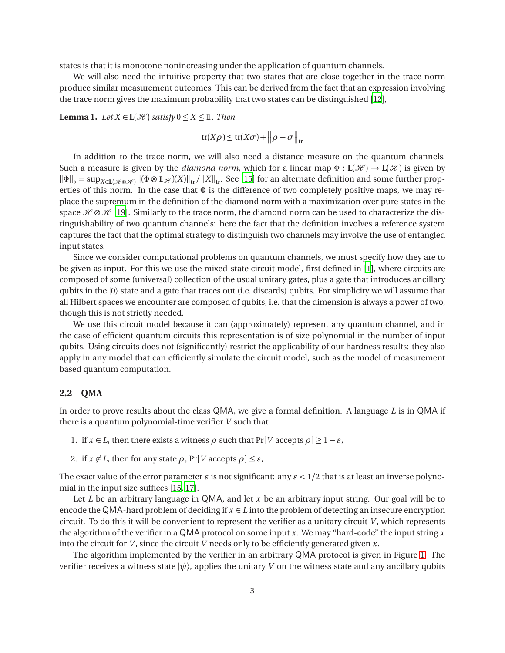states is that it is monotone nonincreasing under the application of quantum channels.

We will also need the intuitive property that two states that are close together in the trace norm produce similar measurement outcomes. This can be derived from the fact that an expression involving the trace norm gives the maximum probability that two states can be distinguished [[12](#page-14-7)],

<span id="page-2-0"></span>**Lemma 1.** *Let*  $X \in L(\mathcal{H})$  *satisfy*  $0 \le X \le 1$ *. Then* 

$$
\text{tr}(X\rho) \le \text{tr}(X\sigma) + \left\|\rho - \sigma\right\|_{\text{tr}}
$$

In addition to the trace norm, we will also need a distance measure on the quantum channels. Such a measure is given by the *diamond norm*, which for a linear map  $\Phi : L(\mathcal{H}) \to L(\mathcal{K})$  is given by  $\|\Phi\|_{\diamond} = \sup_{X \in \mathbf{L}(\mathcal{H} \otimes \mathcal{H})} \|(\Phi \otimes \mathbf{1}_{\mathcal{H}})(X)\|_{\text{tr}} / \|X\|_{\text{tr}}$ . See [[15](#page-14-0)] for an alternate definition and some further properties of this norm. In the case that  $\Phi$  is the difference of two completely positive maps, we may replace the supremum in the definition of the diamond norm with a maximization over pure states in the space  $\mathcal{H} \otimes \mathcal{H}$  [[19](#page-14-8)]. Similarly to the trace norm, the diamond norm can be used to characterize the distinguishability of two quantum channels: here the fact that the definition involves a reference system captures the fact that the optimal strategy to distinguish two channels may involve the use of entangled input states.

Since we consider computational problems on quantum channels, we must specify how they are to be given as input. For this we use the mixed-state circuit model, first defined in [[1](#page-13-3)], where circuits are composed of some (universal) collection of the usual unitary gates, plus a gate that introduces ancillary qubits in the |0〉 state and a gate that traces out (i.e. discards) qubits. For simplicity we will assume that all Hilbert spaces we encounter are composed of qubits, i.e. that the dimension is always a power of two, though this is not strictly needed.

We use this circuit model because it can (approximately) represent any quantum channel, and in the case of efficient quantum circuits this representation is of size polynomial in the number of input qubits. Using circuits does not (significantly) restrict the applicability of our hardness results: they also apply in any model that can efficiently simulate the circuit model, such as the model of measurement based quantum computation.

### **2.2 QMA**

In order to prove results about the class QMA, we give a formal definition. A language *L* is in QMA if there is a quantum polynomial-time verifier *V* such that

- 1. if  $x \in L$ , then there exists a witness  $\rho$  such that  $Pr[V \text{ accepts } \rho] \geq 1 \varepsilon$ ,
- 2. if  $x \notin L$ , then for any state  $\rho$ , Pr[*V* accepts  $\rho$ ]  $\leq \varepsilon$ ,

The exact value of the error parameter  $\varepsilon$  is not significant: any  $\varepsilon$  < 1/2 that is at least an inverse polynomial in the input size suffices [[15,](#page-14-0) [17](#page-14-9)].

Let *L* be an arbitrary language in QMA, and let *x* be an arbitrary input string. Our goal will be to encode the QMA-hard problem of deciding if  $x \in L$  into the problem of detecting an insecure encryption circuit. To do this it will be convenient to represent the verifier as a unitary circuit  $V$ , which represents the algorithm of the verifier in a QMA protocol on some input *x*. We may "hard-code" the input string *x* into the circuit for *V* , since the circuit *V* needs only to be efficiently generated given *x*.

The algorithm implemented by the verifier in an arbitrary QMA protocol is given in Figure [1.](#page-3-0) The verifier receives a witness state  $|\psi\rangle$ , applies the unitary *V* on the witness state and any ancillary qubits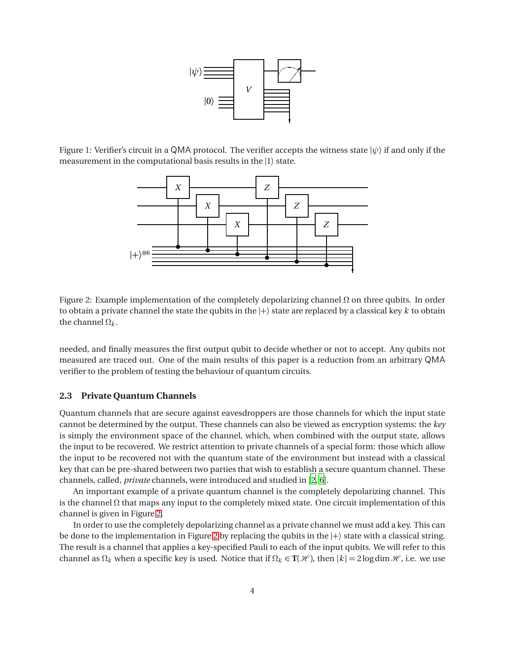

Figure 1: Verifier's circuit in a QMA protocol. The verifier accepts the witness state  $|\psi\rangle$  if and only if the measurement in the computational basis results in the |1〉 state.

<span id="page-3-0"></span>

<span id="page-3-1"></span>Figure 2: Example implementation of the completely depolarizing channel  $Ω$  on three qubits. In order to obtain a private channel the state the qubits in the  $|+\rangle$  state are replaced by a classical key k to obtain the channel  $\Omega_k$ .

needed, and finally measures the first output qubit to decide whether or not to accept. Any qubits not measured are traced out. One of the main results of this paper is a reduction from an arbitrary QMA verifier to the problem of testing the behaviour of quantum circuits.

#### **2.3 Private Quantum Channels**

Quantum channels that are secure against eavesdroppers are those channels for which the input state cannot be determined by the output. These channels can also be viewed as encryption systems: the *key* is simply the environment space of the channel, which, when combined with the output state, allows the input to be recovered. We restrict attention to private channels of a special form: those which allow the input to be recovered not with the quantum state of the environment but instead with a classical key that can be pre-shared between two parties that wish to establish a secure quantum channel. These channels, called, *private* channels, were introduced and studied in [[2,](#page-13-1) [6](#page-13-2)].

An important example of a private quantum channel is the completely depolarizing channel. This is the channel  $\Omega$  that maps any input to the completely mixed state. One circuit implementation of this channel is given in Figure [2.](#page-3-1)

In order to use the completely depolarizing channel as a private channel we must add a key. This can be done to the implementation in Figure [2](#page-3-1) by replacing the qubits in the  $|+\rangle$  state with a classical string. The result is a channel that applies a key-specified Pauli to each of the input qubits. We will refer to this channel as  $\Omega_k$  when a specific key is used. Notice that if  $\Omega_k \in \mathbf{T}(\mathcal{H})$ , then  $|k| = 2\log \dim \mathcal{H}$ , i.e. we use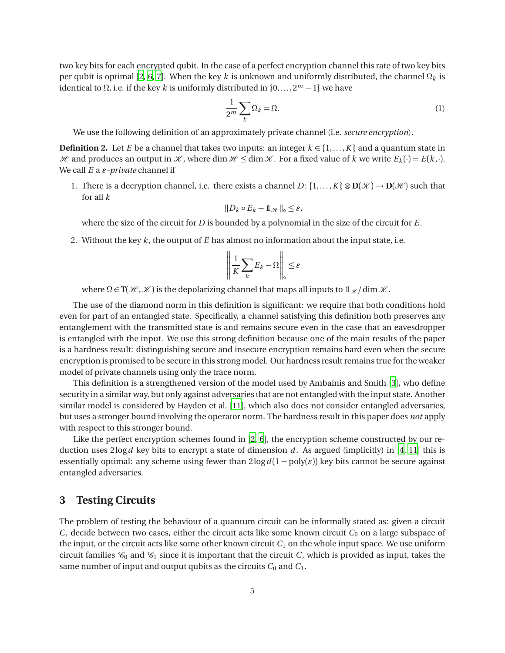two key bits for each encrypted qubit. In the case of a perfect encryption channel this rate of two key bits per qubit is optimal [[2](#page-13-1), [6,](#page-13-2) [7](#page-13-4)]. When the key *k* is unknown and uniformly distributed, the channel Ω*<sup>k</sup>* is identical to Ω, i.e. if the key *k* is uniformly distributed in {0,... ,2*<sup>m</sup>* − 1} we have

<span id="page-4-1"></span>
$$
\frac{1}{2^m} \sum_{k} \Omega_k = \Omega. \tag{1}
$$

We use the following definition of an approximately private channel (i.e. *secure encryption*).

**Definition 2.** Let *E* be a channel that takes two inputs: an integer  $k \in \{1, ..., K\}$  and a quantum state in  $H$  and produces an output in X, where dim  $H \leq \dim X$ . For a fixed value of k we write  $E_k(\cdot) = E(k, \cdot)$ . We call *E* a *ǫ-private* channel if

1. There is a decryption channel, i.e. there exists a channel  $D: \{1, \ldots, K\} \otimes \mathbf{D}(\mathcal{K}) \to \mathbf{D}(\mathcal{H})$  such that for all *k*

$$
||D_k \circ E_k - \mathbb{1}_{\mathscr{H}}||_{\diamond} \leq \varepsilon,
$$

where the size of the circuit for *D* is bounded by a polynomial in the size of the circuit for *E*.

2. Without the key *k* , the output of *E* has almost no information about the input state, i.e.

$$
\left\| \frac{1}{K} \sum_{k} E_k - \Omega \right\|_{\diamond} \le \varepsilon
$$

where  $\Omega \in \mathbb{T}(\mathcal{H}, \mathcal{K})$  is the depolarizing channel that maps all inputs to  $\mathbb{1}_{\mathcal{K}}/\dim\mathcal{K}$ .

The use of the diamond norm in this definition is significant: we require that both conditions hold even for part of an entangled state. Specifically, a channel satisfying this definition both preserves any entanglement with the transmitted state is and remains secure even in the case that an eavesdropper is entangled with the input. We use this strong definition because one of the main results of the paper is a hardness result: distinguishing secure and insecure encryption remains hard even when the secure encryption is promised to be secure in this strong model. Our hardness result remains true for the weaker model of private channels using only the trace norm.

This definition is a strengthened version of the model used by Ambainis and Smith [[3](#page-13-5)], who define security in a similar way, but only against adversaries that are not entangled with the input state. Another similar model is considered by Hayden et al. [[11](#page-14-10)], which also does not consider entangled adversaries, but uses a stronger bound involving the operator norm. The hardness result in this paper does *not* apply with respect to this stronger bound.

Like the perfect encryption schemes found in [[2](#page-13-1), [6](#page-13-2)], the encryption scheme constructed by our reduction uses 2log*d* key bits to encrypt a state of dimension *d* . As argued (implicitly) in [[4](#page-13-6), [11](#page-14-10)] this is essentially optimal: any scheme using fewer than  $2\log d(1 - \text{poly}(\varepsilon))$  key bits cannot be secure against entangled adversaries.

## <span id="page-4-0"></span>**3 Testing Circuits**

The problem of testing the behaviour of a quantum circuit can be informally stated as: given a circuit *C*, decide between two cases, either the circuit acts like some known circuit  $C_0$  on a large subspace of the input, or the circuit acts like some other known circuit  $C_1$  on the whole input space. We use uniform circuit families  $\mathcal{C}_0$  and  $\mathcal{C}_1$  since it is important that the circuit *C*, which is provided as input, takes the same number of input and output qubits as the circuits  $C_0$  and  $C_1$ .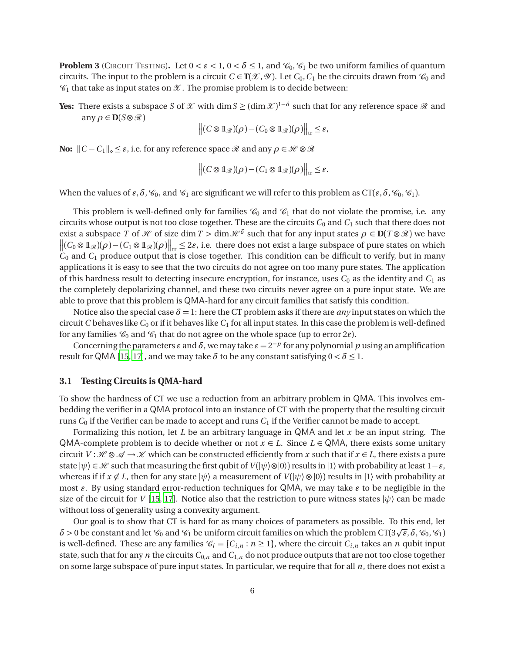<span id="page-5-0"></span>**Problem 3** (CIRCUIT TESTING). Let  $0 < \varepsilon < 1$ ,  $0 < \delta \le 1$ , and  $\mathcal{C}_0$ ,  $\mathcal{C}_1$  be two uniform families of quantum circuits. The input to the problem is a circuit  $C \in T(\mathcal{X}, \mathcal{Y})$ . Let  $C_0, C_1$  be the circuits drawn from  $\mathcal{C}_0$  and  $\mathcal{C}_1$  that take as input states on  $\mathcal{X}$ . The promise problem is to decide between:

**Yes:** There exists a subspace *S* of  $X$  with dim *S* ≥ (dim  $X$ )<sup>1-*δ*</sup> such that for any reference space  $\Re$  and any  $\rho \in \mathbf{D}(S \otimes \mathcal{R})$ 

$$
\left\| (C \otimes \mathbb{1}_{\mathscr{R}})(\rho) - (C_0 \otimes \mathbb{1}_{\mathscr{R}})(\rho) \right\|_{\text{tr}} \leq \varepsilon,
$$

**No:**  $||C - C_1||_{\diamond} \leq \varepsilon$ , i.e. for any reference space  $\Re$  and any  $\rho \in \mathcal{H} \otimes \Re$ 

$$
\left\| (C \otimes \mathbb{1}_{\mathscr{R}})(\rho) - (C_1 \otimes \mathbb{1}_{\mathscr{R}})(\rho) \right\|_{\text{tr}} \leq \varepsilon.
$$

When the values of  $\varepsilon$ ,  $\delta$ ,  $\mathcal{C}_0$ , and  $\mathcal{C}_1$  are significant we will refer to this problem as  $CT(\varepsilon, \delta, \mathcal{C}_0, \mathcal{C}_1)$ .

This problem is well-defined only for families  $\mathcal{C}_0$  and  $\mathcal{C}_1$  that do not violate the promise, i.e. any circuits whose output is not too close together. These are the circuits  $C_0$  and  $C_1$  such that there does not exist a subspace *T* of *H* of size dim *T* > dim  $H^{\delta}$  such that for any input states  $\rho \in D(T \otimes \mathcal{R})$  we have  $\left\| (C_0 \otimes 1\mathcal{R})(\rho) - (C_1 \otimes 1\mathcal{R})(\rho) \right\|_{\text{tr}} \leq 2\varepsilon$ , i.e. there does not exist a large subspace of pure states on which  $C_0$  and  $C_1$  produce output that is close together. This condition can be difficult to verify, but in many applications it is easy to see that the two circuits do not agree on too many pure states. The application of this hardness result to detecting insecure encryption, for instance, uses *C*<sup>0</sup> as the identity and *C*<sup>1</sup> as the completely depolarizing channel, and these two circuits never agree on a pure input state. We are able to prove that this problem is QMA-hard for any circuit families that satisfy this condition.

Notice also the special case  $\delta = 1$ : here the CT problem asks if there are *any* input states on which the circuit *C* behaves like  $C_0$  or if it behaves like  $C_1$  for all input states. In this case the problem is well-defined for any families  $\mathcal{C}_0$  and  $\mathcal{C}_1$  that do not agree on the whole space (up to error  $2\varepsilon$ ).

Concerning the parameters  $\varepsilon$  and  $\delta$ , we may take  $\varepsilon = 2^{-p}$  for any polynomial  $p$  using an amplification result for QMA [[15](#page-14-0), [17](#page-14-9)], and we may take  $\delta$  to be any constant satisfying  $0 < \delta \leq 1$ .

### **3.1 Testing Circuits is QMA-hard**

To show the hardness of CT we use a reduction from an arbitrary problem in QMA. This involves embedding the verifier in a QMA protocol into an instance of CT with the property that the resulting circuit runs *C*<sup>0</sup> if the Verifier can be made to accept and runs *C*<sup>1</sup> if the Verifier cannot be made to accept.

Formalizing this notion, let *L* be an arbitrary language in QMA and let *x* be an input string. The QMA-complete problem is to decide whether or not  $x \in L$ . Since  $L \in QMA$ , there exists some unitary circuit  $V : \mathcal{H} \otimes \mathcal{A} \to \mathcal{K}$  which can be constructed efficiently from x such that if  $x \in L$ , there exists a pure state  $|\psi\rangle \in \mathcal{H}$  such that measuring the first qubit of *V*( $|\psi\rangle \otimes |0\rangle$ ) results in  $|1\rangle$  with probability at least  $1-\varepsilon$ , whereas if if  $x \notin L$ , then for any state  $|\psi\rangle$  a measurement of  $V(|\psi\rangle \otimes |0\rangle)$  results in  $|1\rangle$  with probability at most *ǫ*. By using standard error-reduction techniques for QMA, we may take *ǫ* to be negligible in the size of the circuit for *V* [[15,](#page-14-0) [17](#page-14-9)]. Notice also that the restriction to pure witness states  $|\psi\rangle$  can be made without loss of generality using a convexity argument.

Our goal is to show that CT is hard for as many choices of parameters as possible. To this end, let  $\delta$  > 0 be constant and let  $\mathcal{C}_0$  and  $\mathcal{C}_1$  be uniform circuit families on which the problem CT(3 $\sqrt{\epsilon}$ ,  $\delta$ ,  $\mathcal{C}_0$ ,  $\mathcal{C}_1$ ) is well-defined. These are any families  $\mathcal{C}_i = \{C_{i,n} : n \geq 1\}$ , where the circuit  $C_{i,n}$  takes an *n* qubit input state, such that for any *n* the circuits  $C_{0,n}$  and  $C_{1,n}$  do not produce outputs that are not too close together on some large subspace of pure input states. In particular, we require that for all *n*, there does not exist a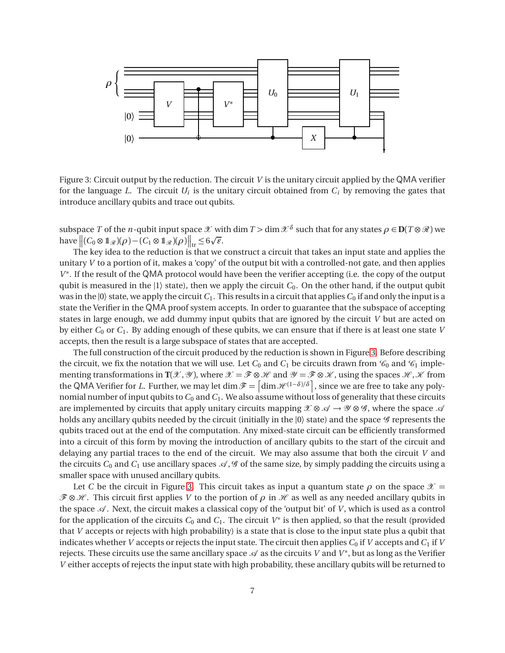

<span id="page-6-0"></span>Figure 3: Circuit output by the reduction. The circuit *V* is the unitary circuit applied by the QMA verifier for the language *L*. The circuit  $U_i$  is the unitary circuit obtained from  $C_i$  by removing the gates that introduce ancillary qubits and trace out qubits.

subspace *T* of the *n*-qubit input space  $\mathcal X$  with dim  $T > \dim \mathcal X^{\delta}$  such that for any states  $\rho \in D(T \otimes \mathcal R)$  we have  $||(C_0 \otimes 1\!\mathcal{R})(\rho) - (C_1 \otimes 1\mathcal{R})(\rho)||_{tr} \leq 6\sqrt{\varepsilon}.$ 

The key idea to the reduction is that we construct a circuit that takes an input state and applies the unitary *V* to a portion of it, makes a 'copy' of the output bit with a controlled-not gate, and then applies *V*<sup>\*</sup>. If the result of the QMA protocol would have been the verifier accepting (i.e. the copy of the output qubit is measured in the  $|1\rangle$  state), then we apply the circuit  $C_0$ . On the other hand, if the output qubit was in the  $|0\rangle$  state, we apply the circuit  $C_1$ . This results in a circuit that applies  $C_0$  if and only the input is a state the Verifier in the QMA proof system accepts. In order to guarantee that the subspace of accepting states in large enough, we add dummy input qubits that are ignored by the circuit *V* but are acted on by either *C*<sup>0</sup> or *C*1. By adding enough of these qubits, we can ensure that if there is at least one state *V* accepts, then the result is a large subspace of states that are accepted.

The full construction of the circuit produced by the reduction is shown in Figure [3.](#page-6-0) Before describing the circuit, we fix the notation that we will use. Let  $C_0$  and  $C_1$  be circuits drawn from  $\mathcal{C}_0$  and  $\mathcal{C}_1$  implementing transformations in  $T(\mathcal{X}, \mathcal{Y})$ , where  $\mathcal{X} = \mathcal{F} \otimes \mathcal{H}$  and  $\mathcal{Y} = \mathcal{F} \otimes \mathcal{X}$ , using the spaces  $\mathcal{H}, \mathcal{X}$  from the QMA Verifier for *L*. Further, we may let  $\dim \mathscr{F} = \left[ \dim \mathscr{H}^{(1-\delta)/\delta} \right]$ , since we are free to take any polynomial number of input qubits to*C*<sup>0</sup> and*C*1. We also assume without loss of generality that these circuits are implemented by circuits that apply unitary circuits mapping  $\mathcal{X} \otimes \mathcal{A} \to \mathcal{Y} \otimes \mathcal{G}$ , where the space  $\mathcal{A}$ holds any ancillary qubits needed by the circuit (initially in the  $|0\rangle$  state) and the space  $\mathscr G$  represents the qubits traced out at the end of the computation. Any mixed-state circuit can be efficiently transformed into a circuit of this form by moving the introduction of ancillary qubits to the start of the circuit and delaying any partial traces to the end of the circuit. We may also assume that both the circuit *V* and the circuits  $C_0$  and  $C_1$  use ancillary spaces  $\mathcal{A}, \mathcal{G}$  of the same size, by simply padding the circuits using a smaller space with unused ancillary qubits.

Let *C* be the circuit in Figure [3.](#page-6-0) This circuit takes as input a quantum state  $\rho$  on the space  $\mathcal{X} =$  $\mathcal{F} \otimes \mathcal{H}$ . This circuit first applies *V* to the portion of  $\rho$  in  $\mathcal{H}$  as well as any needed ancillary qubits in the space  $\mathcal A$ . Next, the circuit makes a classical copy of the 'output bit' of *V*, which is used as a control for the application of the circuits  $C_0$  and  $C_1.$  The circuit  $V^*$  is then applied, so that the result (provided that *V* accepts or rejects with high probability) is a state that is close to the input state plus a qubit that indicates whether *V* accepts or rejects the input state. The circuit then applies  $C_0$  if *V* accepts and  $C_1$  if *V* rejects. These circuits use the same ancillary space  ${\mathscr A}$  as the circuits  $V$  and  $V^*$ , but as long as the Verifier *V* either accepts of rejects the input state with high probability, these ancillary qubits will be returned to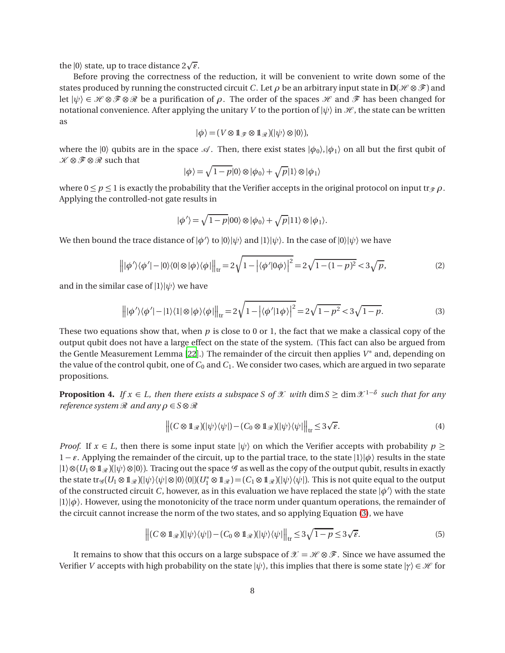the  $|0\rangle$  state, up to trace distance  $2\sqrt{\varepsilon}$ .

Before proving the correctness of the reduction, it will be convenient to write down some of the states produced by running the constructed circuit *C*. Let  $\rho$  be an arbitrary input state in  $\mathbf{D}(\mathcal{H} \otimes \mathcal{F})$  and let  $|\psi\rangle \in \mathcal{H} \otimes \mathcal{F} \otimes \mathcal{R}$  be a purification of  $\rho$ . The order of the spaces  $\mathcal{H}$  and  $\mathcal{F}$  has been changed for notational convenience. After applying the unitary *V* to the portion of  $|\psi\rangle$  in  $\mathcal{H}$ , the state can be written as

$$
|\phi\rangle = (V \otimes 1\!\!1_{\mathscr{F}} \otimes 1\!\!1_{\mathscr{R}})(|\psi\rangle \otimes |0\rangle),
$$

where the  $|0\rangle$  qubits are in the space  $\mathcal A$ . Then, there exist states  $|\phi_0\rangle, |\phi_1\rangle$  on all but the first qubit of  $\mathcal{K} \otimes \mathcal{F} \otimes \mathcal{R}$  such that

$$
|\phi\rangle = \sqrt{1-p}|0\rangle \otimes |\phi_0\rangle + \sqrt{p}|1\rangle \otimes |\phi_1\rangle
$$

where  $0 \le p \le 1$  is exactly the probability that the Verifier accepts in the original protocol on input tr $\mathcal{P} \rho$ . Applying the controlled-not gate results in

$$
|\phi'\rangle = \sqrt{1-p}|00\rangle \otimes |\phi_0\rangle + \sqrt{p}|11\rangle \otimes |\phi_1\rangle.
$$

We then bound the trace distance of  $|\phi'\rangle$  to  $|0\rangle|\psi\rangle$  and  $|1\rangle|\psi\rangle$ . In the case of  $|0\rangle|\psi\rangle$  we have

<span id="page-7-3"></span>
$$
\left\| |\phi'\rangle\langle\phi'| - |0\rangle\langle0| \otimes |\phi\rangle\langle\phi| \right\|_{\text{tr}} = 2\sqrt{1 - |\langle\phi'|0\phi\rangle|^2} = 2\sqrt{1 - (1 - p)^2} < 3\sqrt{p},\tag{2}
$$

and in the similar case of  $|1\rangle|\psi\rangle$  we have

<span id="page-7-0"></span>
$$
\left\| |\phi'\rangle\langle\phi'| - |1\rangle\langle 1| \otimes |\phi\rangle\langle\phi| \right\|_{\text{tr}} = 2\sqrt{1 - |\langle\phi'|1\phi\rangle|^2} = 2\sqrt{1 - p^2} < 3\sqrt{1 - p}.\tag{3}
$$

These two equations show that, when  $p$  is close to 0 or 1, the fact that we make a classical copy of the output qubit does not have a large effect on the state of the system. (This fact can also be argued from the Gentle Measurement Lemma [[22](#page-14-11)].) The remainder of the circuit then applies *V* ∗ and, depending on the value of the control qubit, one of  $C_0$  and  $C_1$ . We consider two cases, which are argued in two separate propositions.

<span id="page-7-2"></span>**Proposition 4.** *If*  $x \in L$ , then there exists a subspace S of X with dim  $S \ge \dim X^{1-\delta}$  *such that for any reference system*  $\Re$  *and any*  $\rho \in S \otimes \Re$ 

$$
\left\| (C \otimes \mathbb{1}_{\mathcal{R}})(|\psi\rangle\langle\psi|) - (C_0 \otimes \mathbb{1}_{\mathcal{R}})(|\psi\rangle\langle\psi|) \right\|_{\text{tr}} \leq 3\sqrt{\varepsilon}.
$$
 (4)

*Proof.* If  $x \in L$ , then there is some input state  $|\psi\rangle$  on which the Verifier accepts with probability  $p \geq$ 1 − *ǫ*. Applying the remainder of the circuit, up to the partial trace, to the state |1〉|*φ*〉 results in the state  $|1\rangle \otimes (U_1 \otimes 1\mathcal{R}) (\psi \otimes |0\rangle)$ . Tracing out the space  $\mathcal G$  as well as the copy of the output qubit, results in exactly the state tr ${}_{\mathscr{G}}(U_1\otimes \mathbb{1}_{\mathscr{R}})(|\psi\rangle\langle\psi|\otimes|0\rangle\langle0|)(U_1^*\otimes \mathbb{1}_{\mathscr{R}})=(C_1\otimes \mathbb{1}_{\mathscr{R}})(|\psi\rangle\langle\psi|).$  This is not quite equal to the output of the constructed circuit *C*, however, as in this evaluation we have replaced the state  $|\phi'\rangle$  with the state  $|1\rangle|\phi\rangle$ . However, using the monotonicity of the trace norm under quantum operations, the remainder of the circuit cannot increase the norm of the two states, and so applying Equation [\(3\)](#page-7-0), we have

<span id="page-7-1"></span>
$$
\left\| (C \otimes \mathbb{1}_{\mathcal{R}})(|\psi\rangle\langle\psi|) - (C_0 \otimes \mathbb{1}_{\mathcal{R}})(|\psi\rangle\langle\psi|) \right\|_{\text{tr}} \leq 3\sqrt{1-p} \leq 3\sqrt{\varepsilon}.\tag{5}
$$

It remains to show that this occurs on a large subspace of  $\mathcal{X} = \mathcal{H} \otimes \mathcal{F}$ . Since we have assumed the Verifier *V* accepts with high probability on the state  $|\psi\rangle$ , this implies that there is some state  $|\gamma\rangle \in \mathcal{H}$  for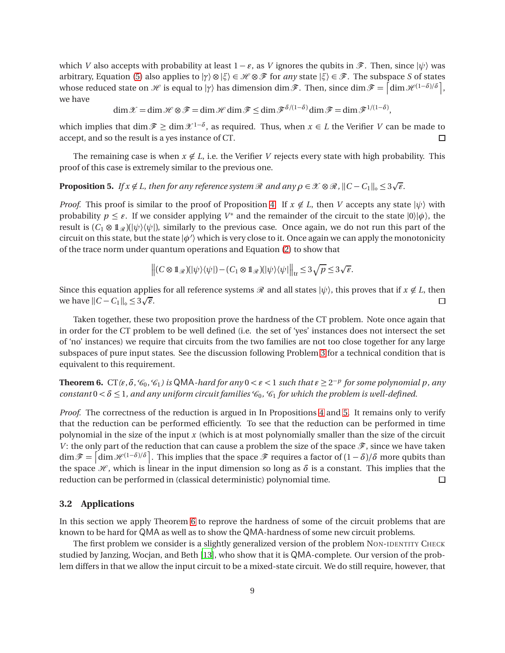which *V* also accepts with probability at least  $1 - \varepsilon$ , as *V* ignores the qubits in  $\mathscr{F}$ . Then, since  $|\psi\rangle$  was arbitrary, Equation [\(5\)](#page-7-1) also applies to  $|\gamma\rangle \otimes |\xi\rangle \in \mathcal{H} \otimes \mathcal{F}$  for *any* state  $|\xi\rangle \in \mathcal{F}$ . The subspace *S* of states whose reduced state on  $\mathscr H$  is equal to  $|\gamma\rangle$  has dimension dim  $\mathscr F$ . Then, since dim  $\mathscr F = \left[ \dim \mathscr H^{(1-\delta)/\delta} \right]$ , we have

$$
\dim \mathscr{X} = \dim \mathscr{H} \otimes \mathscr{F} = \dim \mathscr{H} \dim \mathscr{F} \leq \dim \mathscr{F}^{\delta/(1-\delta)} \dim \mathscr{F} = \dim \mathscr{F}^{1/(1-\delta)},
$$

which implies that dim  $\mathcal{F}$  ≥ dim  $\mathcal{X}$ <sup>1- $\delta$ </sup>, as required. Thus, when  $x \in L$  the Verifier *V* can be made to accept, and so the result is a yes instance of CT.  $\Box$ 

The remaining case is when  $x \notin L$ , i.e. the Verifier *V* rejects every state with high probability. This proof of this case is extremely similar to the previous one.

<span id="page-8-0"></span>**Proposition 5.** *If*  $x \notin L$ *, then for any reference system*  $\Re$  *and any*  $\rho \in \mathcal{X} \otimes \Re$ ,  $||C - C_1||_{\diamond} \leq 3\sqrt{\epsilon}$ .

*Proof.* This proof is similar to the proof of Proposition [4.](#page-7-2) If  $x \notin L$ , then *V* accepts any state  $|\psi\rangle$  with probability  $p \leq \varepsilon$ . If we consider applying  $V^*$  and the remainder of the circuit to the state  $|0\rangle |\phi\rangle$ , the result is  $(C_1 \otimes \mathbb{1}_{\mathcal{R}})(|\psi\rangle\langle\psi|)$ , similarly to the previous case. Once again, we do not run this part of the circuit on this state, but the state  $|\phi'\rangle$  which is very close to it. Once again we can apply the monotonicity of the trace norm under quantum operations and Equation [\(2\)](#page-7-3) to show that

$$
\left\| (C \otimes \mathbb{1}_{\mathscr{R}})(|\psi\rangle\langle\psi|) - (C_1 \otimes \mathbb{1}_{\mathscr{R}})(|\psi\rangle\langle\psi|) \right\|_{\text{tr}} \leq 3\sqrt{p} \leq 3\sqrt{\epsilon}.
$$

Since this equation applies for all reference systems  $\Re$  and all states  $|\psi\rangle$ , this proves that if  $x \notin L$ , then we have  $||C - C_1||_0 \le 3\sqrt{\varepsilon}$ . we have  $||C - C_1||_{\diamond} \leq 3\sqrt{\varepsilon}$ .

Taken together, these two proposition prove the hardness of the CT problem. Note once again that in order for the CT problem to be well defined (i.e. the set of 'yes' instances does not intersect the set of 'no' instances) we require that circuits from the two families are not too close together for any large subspaces of pure input states. See the discussion following Problem [3](#page-5-0) for a technical condition that is equivalent to this requirement.

<span id="page-8-1"></span>**Theorem 6.** CT( $\varepsilon$ , $\delta$ , $\mathcal{C}_0$ , $\mathcal{C}_1$ ) is QMA-hard for any  $0 < \varepsilon < 1$  such that  $\varepsilon \geq 2^{-p}$  for some polynomial p, any *constant*  $0 < \delta \leq 1$ , and any uniform circuit families  $\mathcal{C}_0$ ,  $\mathcal{C}_1$  for which the problem is well-defined.

*Proof.* The correctness of the reduction is argued in In Propositions [4](#page-7-2) and [5.](#page-8-0) It remains only to verify that the reduction can be performed efficiently. To see that the reduction can be performed in time polynomial in the size of the input *x* (which is at most polynomially smaller than the size of the circuit *V*: the only part of the reduction that can cause a problem the size of the space  $\mathscr{F}$ , since we have taken  $\dim \mathscr{F} = \left[ \dim \mathscr{H}^{(1-\delta)/\delta} \right]$ . This implies that the space  $\mathscr{F}$  requires a factor of  $(1-\delta)/\delta$  more qubits than the space  $\mathcal{H}$ , which is linear in the input dimension so long as  $\delta$  is a constant. This implies that the reduction can be performed in (classical deterministic) polynomial time. reduction can be performed in (classical deterministic) polynomial time.

#### **3.2 Applications**

In this section we apply Theorem [6](#page-8-1) to reprove the hardness of some of the circuit problems that are known to be hard for QMA as well as to show the QMA-hardness of some new circuit problems.

The first problem we consider is a slightly generalized version of the problem NON-IDENTITY CHECK studied by Janzing, Wocjan, and Beth [[13](#page-14-5)], who show that it is QMA-complete. Our version of the problem differs in that we allow the input circuit to be a mixed-state circuit. We do still require, however, that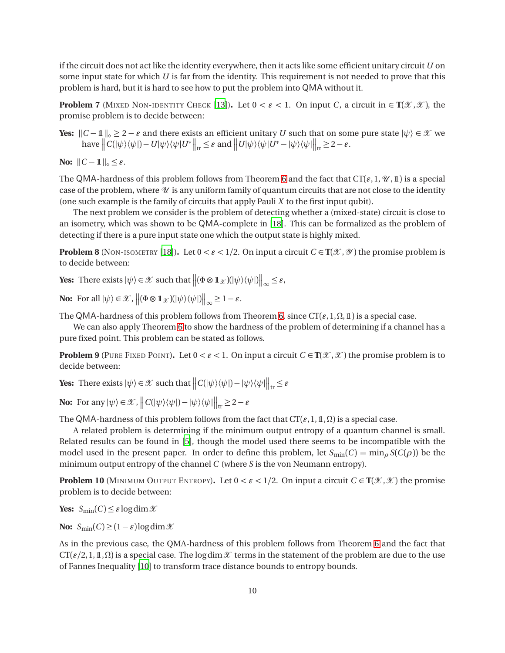if the circuit does not act like the identity everywhere, then it acts like some efficient unitary circuit *U* on some input state for which *U* is far from the identity. This requirement is not needed to prove that this problem is hard, but it is hard to see how to put the problem into QMA without it.

**Problem 7** (MIXED NON-IDENTITY CHECK [[13](#page-14-5)]). Let  $0 < \varepsilon < 1$ . On input *C*, a circuit in  $\in T(\mathcal{X}, \mathcal{X})$ , the promise problem is to decide between:

**Yes:**  $||C - 1||_{\infty} \ge 2 - \varepsilon$  and there exists an efficient unitary *U* such that on some pure state  $|\psi\rangle \in \mathcal{X}$  we  $\text{have } \left\| C(|\psi\rangle\langle\psi|) - U|\psi\rangle\langle\psi|U^*\right\|_{\text{tr}} \leq \varepsilon \text{ and } \left\| U|\psi\rangle\langle\psi|U^* - |\psi\rangle\langle\psi|\right\|_{\text{tr}} \geq 2 - \varepsilon.$ 

**No:**  $||C - 1||_{\circ} \leq \varepsilon$ .

The QMA-hardness of this problem follows from Theorem [6](#page-8-1) and the fact that  $CT(\epsilon, 1, \mathcal{U}, 1)$  is a special case of the problem, where  $U$  is any uniform family of quantum circuits that are not close to the identity (one such example is the family of circuits that apply Pauli *X* to the first input qubit).

The next problem we consider is the problem of detecting whether a (mixed-state) circuit is close to an isometry, which was shown to be QMA-complete in [[18](#page-14-6)]. This can be formalized as the problem of detecting if there is a pure input state one which the output state is highly mixed.

**Problem 8** (NON-ISOMETRY [[18](#page-14-6)]). Let  $0 < \varepsilon < 1/2$ . On input a circuit  $C \in \mathbf{T}(\mathcal{X}, \mathcal{Y})$  the promise problem is to decide between:

**Yes:** There exists  $|\psi\rangle \in \mathcal{X}$  such that  $\left\| (\Phi \otimes \mathbb{1}_{\mathcal{X}})(|\psi\rangle\langle\psi|) \right\|_{\infty} \leq \varepsilon$ ,

**No:** For all  $|\psi\rangle \in \mathcal{X}$ ,  $\left\| (\Phi \otimes \mathbb{1}_{\mathcal{X}})(|\psi\rangle\langle\psi|) \right\|_{\infty} \geq 1 - \varepsilon$ .

The QMA-hardness of this problem follows from Theorem [6,](#page-8-1) since  $CT(\varepsilon, 1, \Omega, 1)$  is a special case.

We can also apply Theorem [6](#page-8-1) to show the hardness of the problem of determining if a channel has a pure fixed point. This problem can be stated as follows.

**Problem 9** (PURE FIXED POINT). Let  $0 < \varepsilon < 1$ . On input a circuit  $C \in \mathbf{T}(\mathcal{X}, \mathcal{X})$  the promise problem is to decide between:

**Yes:** There exists  $|\psi\rangle \in \mathcal{X}$  such that  $||C(|\psi\rangle\langle\psi|) - |\psi\rangle\langle\psi||||_{tr} \leq \varepsilon$ 

**No:** For any  $|\psi\rangle \in \mathcal{X}$ ,  $||C(|\psi\rangle\langle\psi|) - |\psi\rangle\langle\psi||_{tr} \ge 2 - \varepsilon$ 

The QMA-hardness of this problem follows from the fact that  $CT(\epsilon, 1, 1, 0)$  is a special case.

A related problem is determining if the minimum output entropy of a quantum channel is small. Related results can be found in [[5](#page-13-0)], though the model used there seems to be incompatible with the model used in the present paper. In order to define this problem, let  $S_{\text{min}}(C) = \min_{\rho} S(C(\rho))$  be the minimum output entropy of the channel *C* (where *S* is the von Neumann entropy).

**Problem 10** (MINIMUM OUTPUT ENTROPY). Let  $0 < \varepsilon < 1/2$ . On input a circuit  $C \in \mathbf{T}(\mathcal{X}, \mathcal{X})$  the promise problem is to decide between:

**Yes:**  $S_{\text{min}}(C) \leq \varepsilon \log \dim \mathcal{X}$ 

**No:**  $S_{\text{min}}(C) \geq (1 - \varepsilon) \log \dim \mathcal{X}$ 

As in the previous case, the QMA-hardness of this problem follows from Theorem [6](#page-8-1) and the fact that  $CT({\epsilon}/2,1,1,\Omega)$  is a special case. The log dim  $X$  terms in the statement of the problem are due to the use of Fannes Inequality [[10](#page-14-12)] to transform trace distance bounds to entropy bounds.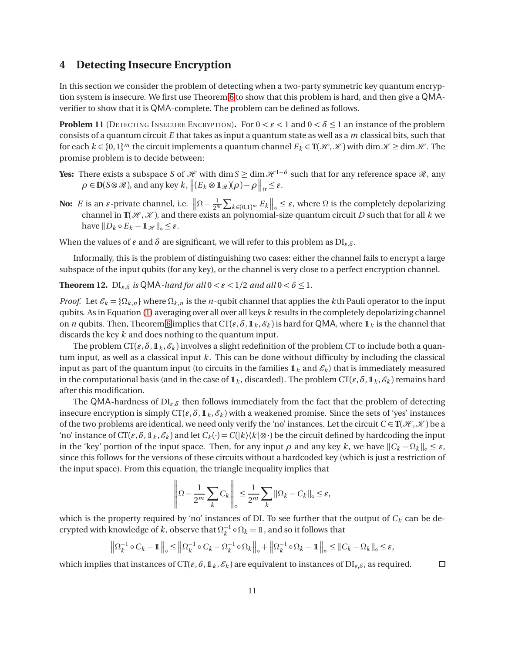## <span id="page-10-0"></span>**4 Detecting Insecure Encryption**

In this section we consider the problem of detecting when a two-party symmetric key quantum encryption system is insecure. We first use Theorem [6](#page-8-1) to show that this problem is hard, and then give a QMAverifier to show that it is QMA-complete. The problem can be defined as follows.

<span id="page-10-1"></span>**Problem 11** (DETECTING INSECURE ENCRYPTION). For  $0 < \varepsilon < 1$  and  $0 < \delta \le 1$  an instance of the problem consists of a quantum circuit *E* that takes as input a quantum state as well as a *m* classical bits, such that for each  $k \in \{0,1\}^m$  the circuit implements a quantum channel  $E_k \in \mathbb{T}(\mathcal{H}, \mathcal{K})$  with dim  $\mathcal{K} \ge \dim \mathcal{H}$ . The promise problem is to decide between:

- **Yes:** There exists a subspace *S* of *H* with dim  $S \ge \dim \mathcal{H}^{1-\delta}$  such that for any reference space  $\Re$ , any  $\rho \in \mathbf{D}(\mathcal{S} \otimes \mathcal{R})$ , and any key  $k$ ,  $\left\| (E_k \otimes \mathbb{1}_{\mathcal{R}})(\rho) - \rho \right\|_{\text{tr}} \leq \varepsilon$ .
- **No:** *E* is an *ε*-private channel, i.e.  $\left\| \Omega \frac{1}{2^m} \sum_{k \in \{0,1\}^m} E_k \right\|_{\infty} \leq \varepsilon$ , where  $\Omega$  is the completely depolarizing channel in  $\textbf{T}(\mathcal{H},\mathcal{K})$ , and there exists an polynomial-size quantum circuit *D* such that for all *k* we have  $||D_k \circ E_k - \mathbb{1}_{\mathcal{H}}||_{\circ} \leq \varepsilon$ .

When the values of  $\varepsilon$  and  $\delta$  are significant, we will refer to this problem as  $DI_{\varepsilon,\delta}$ .

Informally, this is the problem of distinguishing two cases: either the channel fails to encrypt a large subspace of the input qubits (for any key), or the channel is very close to a perfect encryption channel.

<span id="page-10-2"></span>**Theorem 12.**  $DI_{\varepsilon,\delta}$  *is* QMA-*hard for all*  $0 < \varepsilon < 1/2$  *and all*  $0 < \delta \leq 1$ *.* 

*Proof.* Let  $\mathcal{E}_k = \{\Omega_{k,n}\}\$  where  $\Omega_{k,n}$  is the *n*-qubit channel that applies the *k*th Pauli operator to the input qubits. As in Equation [\(1\)](#page-4-1) averaging over all over all keys *k* results in the completely depolarizing channel on *n* qubits. Then, Theorem [6](#page-8-1) implies that  $CT(\varepsilon, \delta, 1\mathbb{1}_k, \mathcal{E}_k)$  is hard for QMA, where  $1\mathbb{1}_k$  is the channel that discards the key *k* and does nothing to the quantum input.

The problem  $CT(\varepsilon, \delta, 1k, \mathcal{E}_k)$  involves a slight redefinition of the problem CT to include both a quantum input, as well as a classical input *k*. This can be done without difficulty by including the classical input as part of the quantum input (to circuits in the families  $\mathbb{1}_k$  and  $\mathscr{E}_k$ ) that is immediately measured in the computational basis (and in the case of  $1\mathbf{k}$ , discarded). The problem CT( $\varepsilon$ ,  $\delta$ ,  $1\mathbf{k}$ ,  $\varepsilon$ <sub>k</sub>) remains hard after this modification.

The QMA-hardness of  $DI_{\varepsilon,\delta}$  then follows immediately from the fact that the problem of detecting insecure encryption is simply  $CT(\varepsilon, \delta, 1 \kappa, \mathcal{E}_k)$  with a weakened promise. Since the sets of 'yes' instances of the two problems are identical, we need only verify the 'no' instances. Let the circuit  $C \in T(\mathcal{H}, \mathcal{K})$  be a 'no' instance of  $CT(\varepsilon, \delta, 1\mathbb{I}_k, \mathscr{E}_k)$  and let  $C_k(\cdot) = C(|k\rangle\langle k| \otimes \cdot)$  be the circuit defined by hardcoding the input in the 'key' portion of the input space. Then, for any input  $\rho$  and any key k, we have  $||C_k - \Omega_k||_{\diamond} \leq \varepsilon$ , since this follows for the versions of these circuits without a hardcoded key (which is just a restriction of the input space). From this equation, the triangle inequality implies that

$$
\left\|\Omega - \frac{1}{2^m} \sum_k C_k\right\|_{\infty} \le \frac{1}{2^m} \sum_k \|\Omega_k - C_k\|_{\infty} \le \varepsilon,
$$

which is the property required by 'no' instances of DI. To see further that the output of *C<sup>k</sup>* can be decrypted with knowledge of *k*, observe that  $\Omega_k^{-1} \circ \Omega_k = \mathbb{1}$ , and so it follows that

$$
\left\|\Omega_k^{-1}\circ C_k - \mathbb{1}\right\|_{\diamond} \le \left\|\Omega_k^{-1}\circ C_k - \Omega_k^{-1}\circ \Omega_k\right\|_{\diamond} + \left\|\Omega_k^{-1}\circ \Omega_k - \mathbb{1}\right\|_{\diamond} \le \|C_k - \Omega_k\|_{\diamond} \le \varepsilon,
$$

 $\Box$ 

which implies that instances of  $CT(\varepsilon, \delta, 1 \mathcal{E}, \mathcal{E}_k)$  are equivalent to instances of  $DI_{\varepsilon, \delta}$ , as required.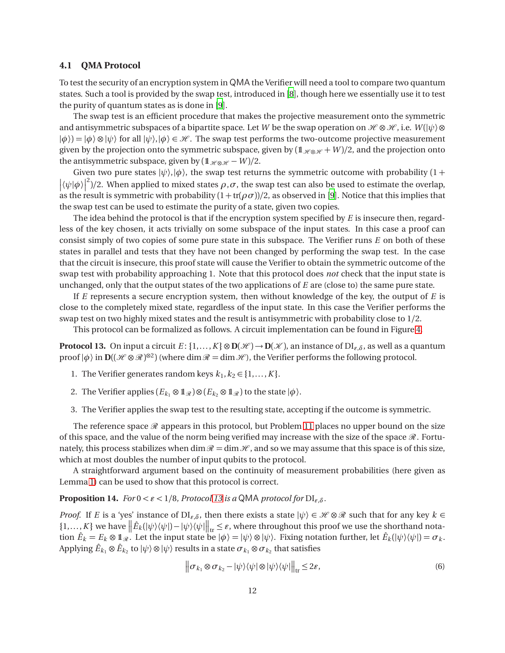#### **4.1 QMA Protocol**

To test the security of an encryption system in QMA the Verifier will need a tool to compare two quantum states. Such a tool is provided by the swap test, introduced in [[8](#page-13-7)], though here we essentially use it to test the purity of quantum states as is done in [[9](#page-13-8)].

The swap test is an efficient procedure that makes the projective measurement onto the symmetric and antisymmetric subspaces of a bipartite space. Let *W* be the swap operation on  $\mathcal{H} \otimes \mathcal{H}$ , i.e.  $W(|\psi\rangle \otimes$  $|\phi\rangle = |\phi\rangle \otimes |\psi\rangle$  for all  $|\psi\rangle, |\phi\rangle \in \mathcal{H}$ . The swap test performs the two-outcome projective measurement given by the projection onto the symmetric subspace, given by  $(1_{\mathcal{H}\otimes\mathcal{H}}+W)/2$ , and the projection onto the antisymmetric subspace, given by  $(1 \times \mathbb{R} + W)/2$ .

Given two pure states  $|\psi\rangle$ ,  $|\phi\rangle$ , the swap test returns the symmetric outcome with probability (1 +  $|\langle \psi | \phi \rangle|$  $^2$ )/2. When applied to mixed states *ρ*,*σ*, the swap test can also be used to estimate the overlap, as the result is symmetric with probability  $(1 + tr(\rho \sigma))/2$ , as observed in [[9](#page-13-8)]. Notice that this implies that the swap test can be used to estimate the purity of a state, given two copies.

The idea behind the protocol is that if the encryption system specified by *E* is insecure then, regardless of the key chosen, it acts trivially on some subspace of the input states. In this case a proof can consist simply of two copies of some pure state in this subspace. The Verifier runs *E* on both of these states in parallel and tests that they have not been changed by performing the swap test. In the case that the circuit is insecure, this proof state will cause the Verifier to obtain the symmetric outcome of the swap test with probability approaching 1. Note that this protocol does *not* check that the input state is unchanged, only that the output states of the two applications of *E* are (close to) the same pure state.

If *E* represents a secure encryption system, then without knowledge of the key, the output of *E* is close to the completely mixed state, regardless of the input state. In this case the Verifier performs the swap test on two highly mixed states and the result is antisymmetric with probability close to 1/2.

This protocol can be formalized as follows. A circuit implementation can be found in Figure [4.](#page-12-0)

<span id="page-11-0"></span>**Protocol 13.** On input a circuit  $E: \{1, ..., K\} \otimes \mathbf{D}(\mathcal{H}) \to \mathbf{D}(\mathcal{K})$ , an instance of  $\text{DI}_{\varepsilon,\delta}$ , as well as a quantum proof  $|\phi\rangle$  in  $\mathbf{D}((\mathcal{H}\otimes\mathcal{R})^{\otimes 2})$  (where  $\dim\mathcal{R} = \dim\mathcal{H}$ ), the Verifier performs the following protocol.

- 1. The Verifier generates random keys  $k_1, k_2 \in \{1, \ldots, K\}$ .
- 2. The Verifier applies  $(E_{k_1} \otimes \mathbb{1}_{\mathcal{R}}) \otimes (E_{k_2} \otimes \mathbb{1}_{\mathcal{R}})$  to the state  $|\phi\rangle$ .
- 3. The Verifier applies the swap test to the resulting state, accepting if the outcome is symmetric.

The reference space  $\mathcal R$  appears in this protocol, but Problem [11](#page-10-1) places no upper bound on the size of this space, and the value of the norm being verified may increase with the size of the space  $\mathcal{R}$ . Fortunately, this process stabilizes when dim  $\mathcal{R} = \dim \mathcal{H}$ , and so we may assume that this space is of this size, which at most doubles the number of input qubits to the protocol.

A straightforward argument based on the continuity of measurement probabilities (here given as Lemma [1\)](#page-2-0) can be used to show that this protocol is correct.

#### **Proposition 14.** *For*  $0 < \varepsilon < 1/8$ *, Protocol [13](#page-11-0) is a* QMA *protocol for*  $DI_{\varepsilon,\delta}$ *.*

*Proof.* If *E* is a 'yes' instance of  $DI_{\varepsilon,\delta}$ , then there exists a state  $|\psi\rangle \in \mathcal{H} \otimes \mathcal{R}$  such that for any key  $k \in$  $\{1,\ldots,K\}$  we have  $\left\|\hat{E}_k(|\psi\rangle\langle\psi|)-|\psi\rangle\langle\psi|\right\|_{\text{tr}} \leq \varepsilon$ , where throughout this proof we use the shorthand notation  $\hat{E}_k = E_k \otimes \mathbb{1}_{\mathcal{R}}$ . Let the input state be  $|\phi\rangle = |\psi\rangle \otimes |\psi\rangle$ . Fixing notation further, let  $\hat{E}_k(|\psi\rangle \langle \psi|) = \sigma_k$ . Applying  $\hat{E}_{k_1}\otimes \hat{E}_{k_2}$  to  $|\psi\rangle\otimes |\psi\rangle$  results in a state  $\sigma_{k_1}\otimes\sigma_{k_2}$  that satisfies

$$
\left\| \sigma_{k_1} \otimes \sigma_{k_2} - |\psi\rangle\langle\psi| \otimes |\psi\rangle\langle\psi| \right\|_{\text{tr}} \leq 2\varepsilon,\tag{6}
$$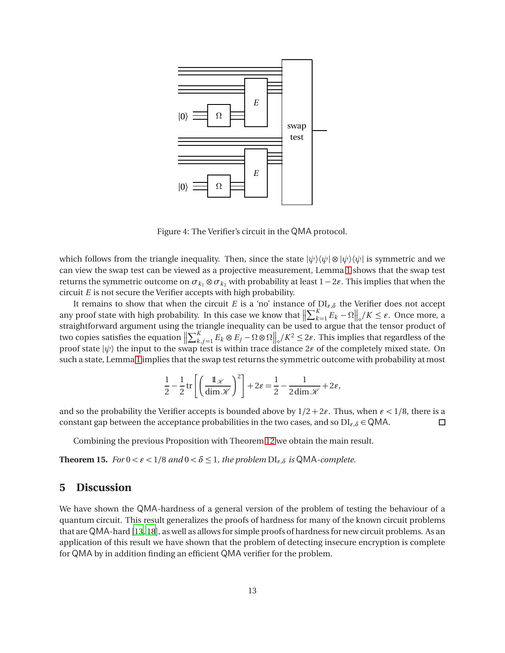

<span id="page-12-0"></span>Figure 4: The Verifier's circuit in the QMA protocol.

which follows from the triangle inequality. Then, since the state  $|\psi\rangle\langle\psi| \otimes |\psi\rangle\langle\psi|$  is symmetric and we can view the swap test can be viewed as a projective measurement, Lemma [1](#page-2-0) shows that the swap test returns the symmetric outcome on  $\sigma_{k_1} \otimes \sigma_{k_2}$  with probability at least  $1 - 2\varepsilon$ . This implies that when the circuit *E* is not secure the Verifier accepts with high probability.

It remains to show that when the circuit *E* is a 'no' instance of  $DI_{\varepsilon,\delta}$  the Verifier does not accept any proof state with high probability. In this case we know that  $\left\| \sum_{k=1}^K E_k - \Omega \right\|_\diamond / K \leq \varepsilon$ . Once more, a any proof state with high probability. In this case we know that  $\|\sum_{k=1}^{L} E_k - \frac{1}{2} \epsilon\|_o / K \leq \epsilon$ . Once more, a<br>straightforward argument using the triangle inequality can be used to argue that the tensor product of two copies satisfies the equation  $\left\| \sum_{k,j=1}^{K} E_k \otimes E_j - \Omega \otimes \Omega \right\|_2 / K^2 \leq 2\varepsilon$ . This implies that regardless of the proof state  $|\psi\rangle$  the input to the swap test is within trace distance 2 $\varepsilon$  of the completely mixed state. On such a state, Lemma [1](#page-2-0) implies that the swap test returns the symmetric outcome with probability at most

$$
\frac{1}{2} - \frac{1}{2} \operatorname{tr} \left[ \left( \frac{1 \mathcal{K}}{\dim \mathcal{K}} \right)^2 \right] + 2 \varepsilon = \frac{1}{2} - \frac{1}{2 \dim \mathcal{K}} + 2 \varepsilon,
$$

and so the probability the Verifier accepts is bounded above by  $1/2 + 2\varepsilon$ . Thus, when  $\varepsilon < 1/8$ , there is a constant gap between the acceptance probabilities in the two cases, and so  $DI_{\varepsilon,\delta} \in QMA$ .  $\Box$ 

Combining the previous Proposition with Theorem [12](#page-10-2) we obtain the main result.

**Theorem 15.** *For*  $0 < \varepsilon < 1/8$  *and*  $0 < \delta \leq 1$ *, the problem*  $DI_{\varepsilon,\delta}$  *is* QMA-*complete.* 

### **5 Discussion**

We have shown the QMA-hardness of a general version of the problem of testing the behaviour of a quantum circuit. This result generalizes the proofs of hardness for many of the known circuit problems that are QMA-hard [[13,](#page-14-5) [18](#page-14-6)], as well as allows for simple proofs of hardness for new circuit problems. As an application of this result we have shown that the problem of detecting insecure encryption is complete for QMA by in addition finding an efficient QMA verifier for the problem.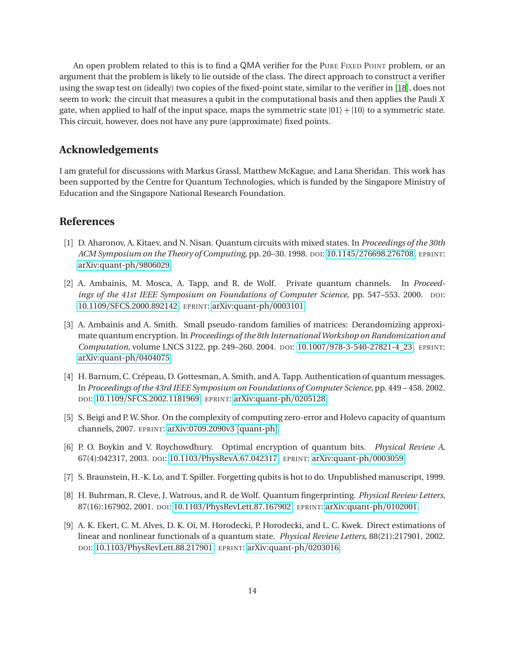An open problem related to this is to find a QMA verifier for the PURE FIXED POINT problem, or an argument that the problem is likely to lie outside of the class. The direct approach to construct a verifier using the swap test on (ideally) two copies of the fixed-point state, similar to the verifier in [[18](#page-14-6)], does not seem to work: the circuit that measures a qubit in the computational basis and then applies the Pauli *X* gate, when applied to half of the input space, maps the symmetric state  $|01\rangle + |10\rangle$  to a symmetric state. This circuit, however, does not have any pure (approximate) fixed points.

## **Acknowledgements**

I am grateful for discussions with Markus Grassl, Matthew McKague, and Lana Sheridan. This work has been supported by the Centre for Quantum Technologies, which is funded by the Singapore Ministry of Education and the Singapore National Research Foundation.

## **References**

- <span id="page-13-3"></span>[1] D. Aharonov, A. Kitaev, and N. Nisan. Quantum circuits with mixed states. In *Proceedings of the 30th ACM Symposium on the Theory of Computing*, pp. 20–30. 1998. DOI: 10.1145/[276698.276708.](http://dx.doi.org/10.1145/276698.276708) EPRINT: [arXiv:quant-ph](http://arxiv.org/abs/quant-ph/9806029)/9806029.
- <span id="page-13-1"></span>[2] A. Ambainis, M. Mosca, A. Tapp, and R. de Wolf. Private quantum channels. In *Proceedings of the 41st IEEE Symposium on Foundations of Computer Science*, pp. 547–553. 2000. DOI: 10.1109/[SFCS.2000.892142.](http://dx.doi.org/10.1109/SFCS.2000.892142) EPRINT: [arXiv:quant-ph](http://arxiv.org/abs/quant-ph/0003101)/0003101.
- <span id="page-13-5"></span>[3] A. Ambainis and A. Smith. Small pseudo-random families of matrices: Derandomizing approximate quantum encryption. In *Proceedings of the 8th InternationalWorkshop on Randomization and Computation*, volume LNCS 3122, pp. 249–260. 2004. DOI: 10.1007/[978-3-540-27821-4\\_23.](http://dx.doi.org/10.1007/978-3-540-27821-4_23) EPRINT: [arXiv:quant-ph](http://arxiv.org/abs/quant-ph/0404075)/0404075.
- <span id="page-13-6"></span>[4] H. Barnum, C. Crépeau, D. Gottesman, A. Smith, and A. Tapp. Authentication of quantum messages. In *Proceedings of the 43rd IEEE Symposium on Foundations of Computer Science*, pp. 449 – 458. 2002. DOI: 10.1109/[SFCS.2002.1181969.](http://dx.doi.org/10.1109/SFCS.2002.1181969) EPRINT: [arXiv:quant-ph](http://arxiv.org/abs/quant-ph/0205128)/0205128.
- <span id="page-13-0"></span>[5] S. Beigi and P. W. Shor. On the complexity of computing zero-error and Holevo capacity of quantum channels, 2007. EPRINT: [arXiv:0709.2090v3](http://arxiv.org/abs/0709.2090v3) [quant-ph].
- <span id="page-13-2"></span>[6] P. O. Boykin and V. Roychowdhury. Optimal encryption of quantum bits. *Physical Review A*, 67(4):042317, 2003. DOI: 10.1103/[PhysRevA.67.042317.](http://dx.doi.org/10.1103/PhysRevA.67.042317) EPRINT: [arXiv:quant-ph](http://arxiv.org/abs/quant-ph/0003059)/0003059.
- <span id="page-13-4"></span>[7] S. Braunstein, H.-K. Lo, and T. Spiller. Forgetting qubits is hot to do. Unpublished manuscript, 1999.
- <span id="page-13-7"></span>[8] H. Buhrman, R. Cleve, J. Watrous, and R. de Wolf. Quantum fingerprinting. *Physical Review Letters*, 87(16):167902, 2001. DOI: 10.1103/[PhysRevLett.87.167902.](http://dx.doi.org/10.1103/PhysRevLett.87.167902) EPRINT: [arXiv:quant-ph](http://arxiv.org/abs/quant-ph/0102001)/0102001.
- <span id="page-13-8"></span>[9] A. K. Ekert, C. M. Alves, D. K. Oi, M. Horodecki, P. Horodecki, and L. C. Kwek. Direct estimations of linear and nonlinear functionals of a quantum state. *Physical Review Letters*, 88(21):217901, 2002. DOI: 10.1103/[PhysRevLett.88.217901.](http://dx.doi.org/10.1103/PhysRevLett.88.217901) EPRINT: [arXiv:quant-ph](http://arxiv.org/abs/quant-ph/0203016)/0203016.